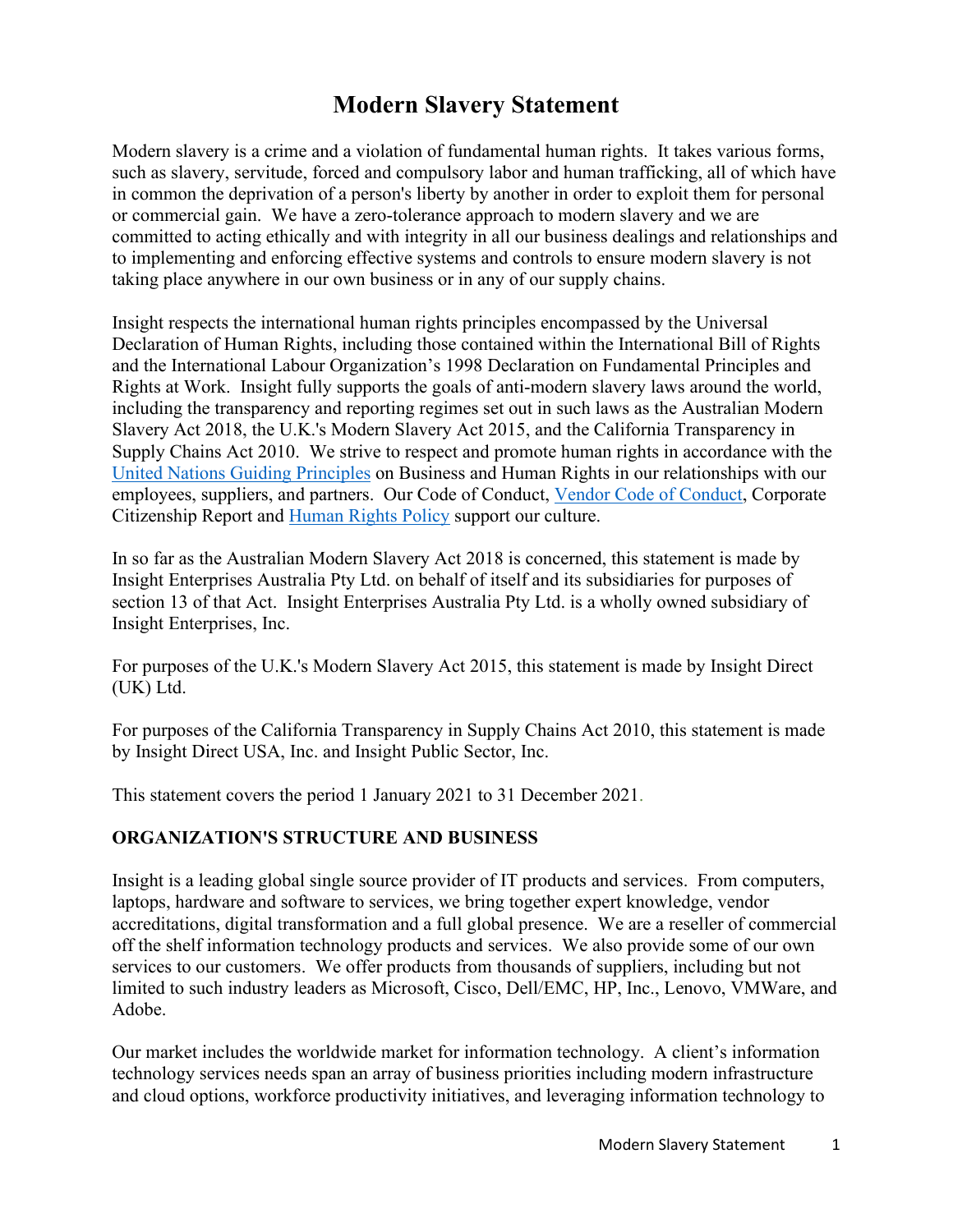### **Modern Slavery Statement**

Modern slavery is a crime and a violation of fundamental human rights. It takes various forms, such as slavery, servitude, forced and compulsory labor and human trafficking, all of which have in common the deprivation of a person's liberty by another in order to exploit them for personal or commercial gain. We have a zero-tolerance approach to modern slavery and we are committed to acting ethically and with integrity in all our business dealings and relationships and to implementing and enforcing effective systems and controls to ensure modern slavery is not taking place anywhere in our own business or in any of our supply chains.

Insight respects the international human rights principles encompassed by the Universal Declaration of Human Rights, including those contained within the International Bill of Rights and the International Labour Organization's 1998 Declaration on Fundamental Principles and Rights at Work. Insight fully supports the goals of anti-modern slavery laws around the world, including the transparency and reporting regimes set out in such laws as the Australian Modern Slavery Act 2018, the U.K.'s Modern Slavery Act 2015, and the California Transparency in Supply Chains Act 2010. We strive to respect and promote human rights in accordance with the [United Nations Guiding Principles](https://www.insight.com/en_US/about/un-global-compact.html) on Business and Human Rights in our relationships with our employees, suppliers, and partners. Our Code of Conduct, [Vendor Code of Conduct,](https://www.insight.com/en_US/help/supplier-code-of-conduct.html) Corporate Citizenship Report and [Human Rights Policy](https://investor.insight.com/corporate-governance/documents-and-charters/default.aspx) support our culture.

In so far as the Australian Modern Slavery Act 2018 is concerned, this statement is made by Insight Enterprises Australia Pty Ltd. on behalf of itself and its subsidiaries for purposes of section 13 of that Act. Insight Enterprises Australia Pty Ltd. is a wholly owned subsidiary of Insight Enterprises, Inc.

For purposes of the U.K.'s Modern Slavery Act 2015, this statement is made by Insight Direct (UK) Ltd.

For purposes of the California Transparency in Supply Chains Act 2010, this statement is made by Insight Direct USA, Inc. and Insight Public Sector, Inc.

This statement covers the period 1 January 2021 to 31 December 2021.

#### **ORGANIZATION'S STRUCTURE AND BUSINESS**

Insight is a leading global single source provider of IT products and services. From computers, laptops, hardware and software to services, we bring together expert knowledge, vendor accreditations, digital transformation and a full global presence. We are a reseller of commercial off the shelf information technology products and services. We also provide some of our own services to our customers. We offer products from thousands of suppliers, including but not limited to such industry leaders as Microsoft, Cisco, Dell/EMC, HP, Inc., Lenovo, VMWare, and Adobe.

Our market includes the worldwide market for information technology. A client's information technology services needs span an array of business priorities including modern infrastructure and cloud options, workforce productivity initiatives, and leveraging information technology to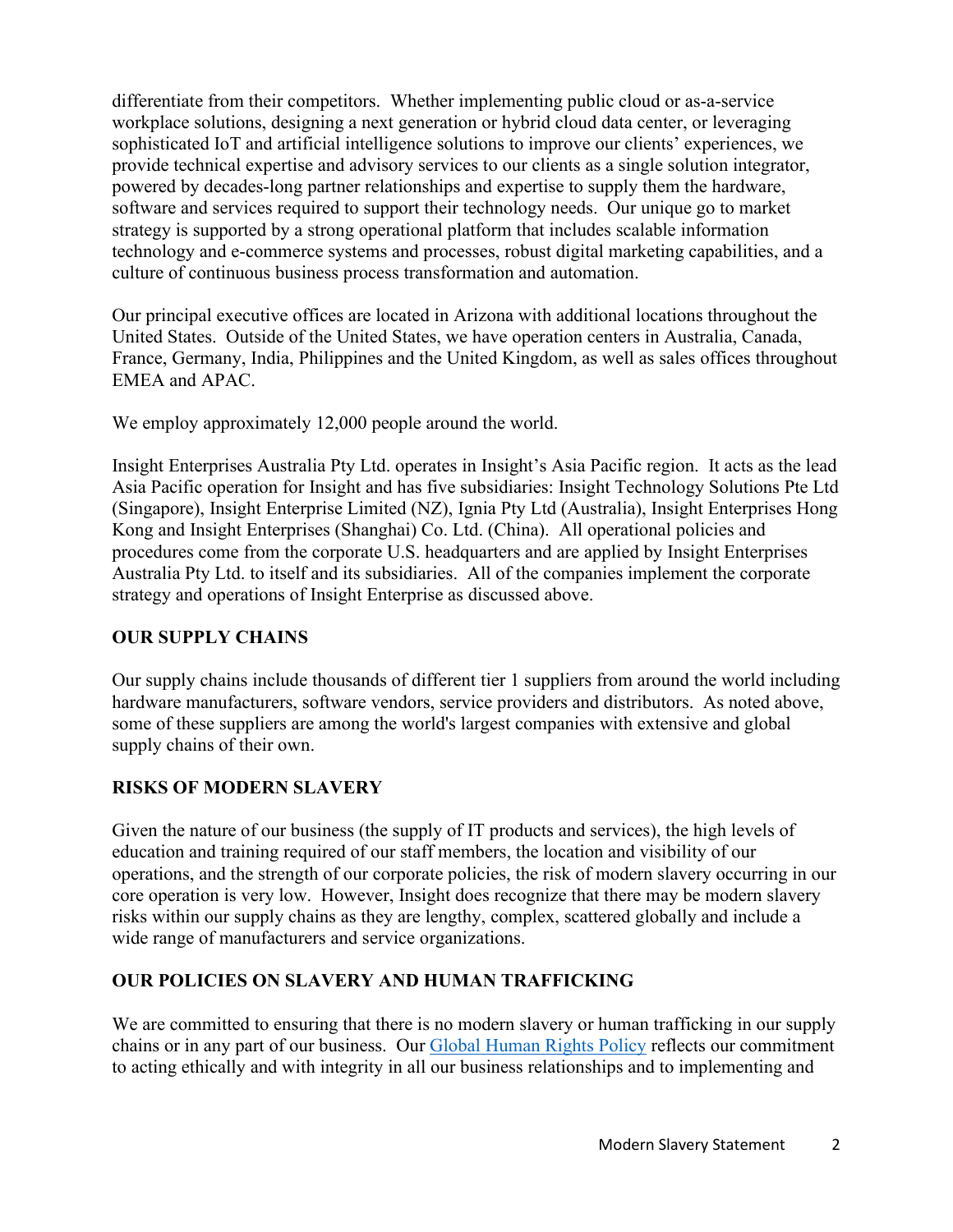differentiate from their competitors. Whether implementing public cloud or as-a-service workplace solutions, designing a next generation or hybrid cloud data center, or leveraging sophisticated IoT and artificial intelligence solutions to improve our clients' experiences, we provide technical expertise and advisory services to our clients as a single solution integrator, powered by decades-long partner relationships and expertise to supply them the hardware, software and services required to support their technology needs. Our unique go to market strategy is supported by a strong operational platform that includes scalable information technology and e-commerce systems and processes, robust digital marketing capabilities, and a culture of continuous business process transformation and automation.

Our principal executive offices are located in Arizona with additional locations throughout the United States. Outside of the United States, we have operation centers in Australia, Canada, France, Germany, India, Philippines and the United Kingdom, as well as sales offices throughout EMEA and APAC.

We employ approximately 12,000 people around the world.

Insight Enterprises Australia Pty Ltd. operates in Insight's Asia Pacific region. It acts as the lead Asia Pacific operation for Insight and has five subsidiaries: Insight Technology Solutions Pte Ltd (Singapore), Insight Enterprise Limited (NZ), Ignia Pty Ltd (Australia), Insight Enterprises Hong Kong and Insight Enterprises (Shanghai) Co. Ltd. (China). All operational policies and procedures come from the corporate U.S. headquarters and are applied by Insight Enterprises Australia Pty Ltd. to itself and its subsidiaries. All of the companies implement the corporate strategy and operations of Insight Enterprise as discussed above.

#### **OUR SUPPLY CHAINS**

Our supply chains include thousands of different tier 1 suppliers from around the world including hardware manufacturers, software vendors, service providers and distributors. As noted above, some of these suppliers are among the world's largest companies with extensive and global supply chains of their own.

#### **RISKS OF MODERN SLAVERY**

Given the nature of our business (the supply of IT products and services), the high levels of education and training required of our staff members, the location and visibility of our operations, and the strength of our corporate policies, the risk of modern slavery occurring in our core operation is very low. However, Insight does recognize that there may be modern slavery risks within our supply chains as they are lengthy, complex, scattered globally and include a wide range of manufacturers and service organizations.

#### **OUR POLICIES ON SLAVERY AND HUMAN TRAFFICKING**

We are committed to ensuring that there is no modern slavery or human trafficking in our supply chains or in any part of our business. Our [Global Human Rights Policy](https://s24.q4cdn.com/371576454/files/doc_downloads/governance/2020/Global-Human-Rights-Policy-V2.pdf) reflects our commitment to acting ethically and with integrity in all our business relationships and to implementing and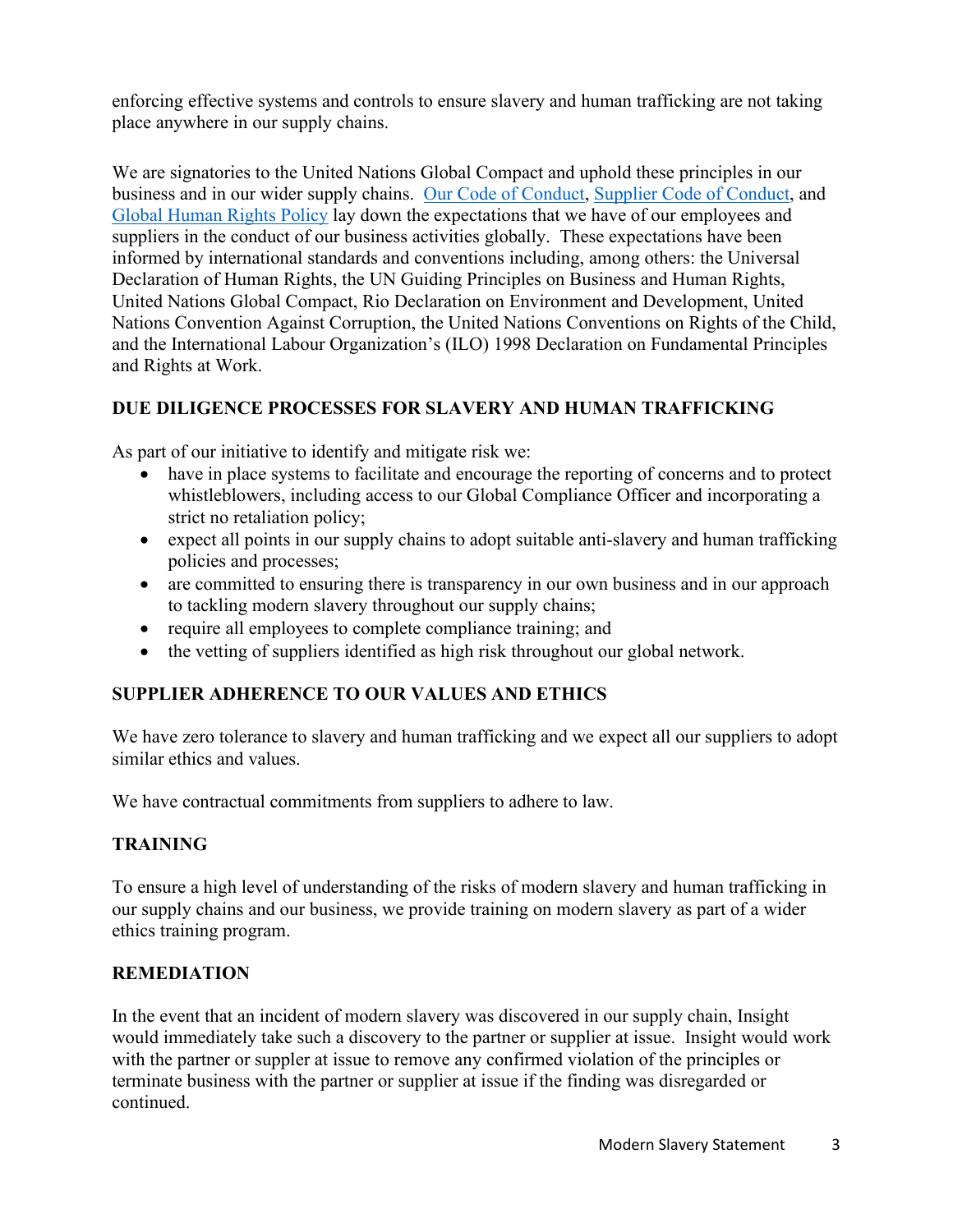enforcing effective systems and controls to ensure slavery and human trafficking are not taking place anywhere in our supply chains.

We are signatories to the United Nations Global Compact and uphold these principles in our business and in our wider supply chains. [Our Code of Conduct,](https://investor.insight.com/corporate-governance/documents-and-charters/default.aspx) [Supplier Code of Conduct,](https://www.insight.com/en_US/help/vendor-code-of-conduct.html) and [Global Human Rights Policy](https://investor.insight.com/corporate-governance/documents-and-charters/default.aspx) lay down the expectations that we have of our employees and suppliers in the conduct of our business activities globally. These expectations have been informed by international standards and conventions including, among others: the Universal Declaration of Human Rights, the UN Guiding Principles on Business and Human Rights, United Nations Global Compact, Rio Declaration on Environment and Development, United Nations Convention Against Corruption, the United Nations Conventions on Rights of the Child, and the International Labour Organization's (ILO) 1998 Declaration on Fundamental Principles and Rights at Work.

#### **DUE DILIGENCE PROCESSES FOR SLAVERY AND HUMAN TRAFFICKING**

As part of our initiative to identify and mitigate risk we:

- have in place systems to facilitate and encourage the reporting of concerns and to protect whistleblowers, including access to our Global Compliance Officer and incorporating a strict no retaliation policy;
- expect all points in our supply chains to adopt suitable anti-slavery and human trafficking policies and processes;
- are committed to ensuring there is transparency in our own business and in our approach to tackling modern slavery throughout our supply chains;
- require all employees to complete compliance training; and
- the vetting of suppliers identified as high risk throughout our global network.

#### **SUPPLIER ADHERENCE TO OUR VALUES AND ETHICS**

We have zero tolerance to slavery and human trafficking and we expect all our suppliers to adopt similar ethics and values.

We have contractual commitments from suppliers to adhere to law.

#### **TRAINING**

To ensure a high level of understanding of the risks of modern slavery and human trafficking in our supply chains and our business, we provide training on modern slavery as part of a wider ethics training program.

#### **REMEDIATION**

In the event that an incident of modern slavery was discovered in our supply chain, Insight would immediately take such a discovery to the partner or supplier at issue. Insight would work with the partner or suppler at issue to remove any confirmed violation of the principles or terminate business with the partner or supplier at issue if the finding was disregarded or continued.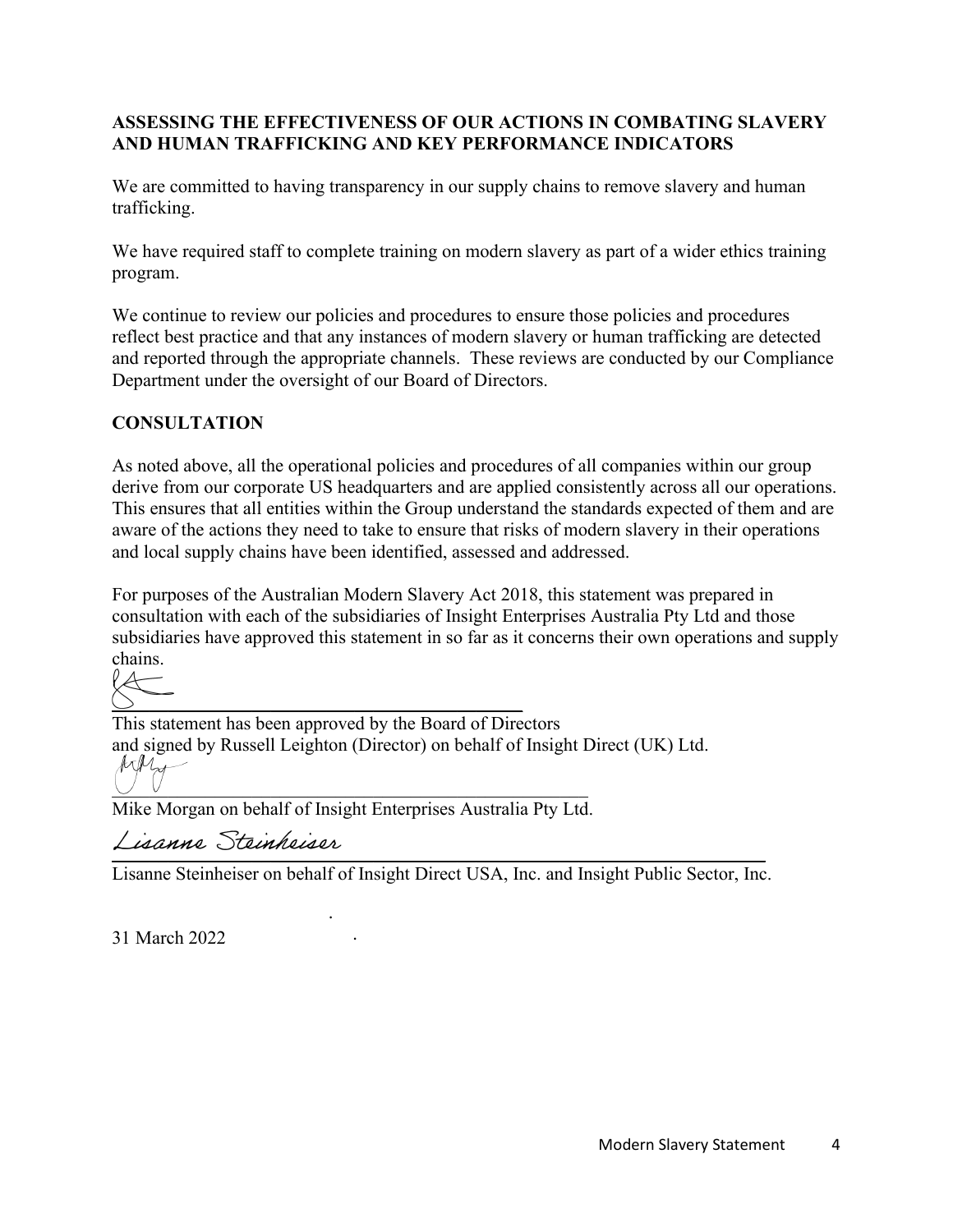#### **ASSESSING THE EFFECTIVENESS OF OUR ACTIONS IN COMBATING SLAVERY AND HUMAN TRAFFICKING AND KEY PERFORMANCE INDICATORS**

We are committed to having transparency in our supply chains to remove slavery and human trafficking.

We have required staff to complete training on modern slavery as part of a wider ethics training program.

We continue to review our policies and procedures to ensure those policies and procedures reflect best practice and that any instances of modern slavery or human trafficking are detected and reported through the appropriate channels. These reviews are conducted by our Compliance Department under the oversight of our Board of Directors.

#### **CONSULTATION**

As noted above, all the operational policies and procedures of all companies within our group derive from our corporate US headquarters and are applied consistently across all our operations. This ensures that all entities within the Group understand the standards expected of them and are aware of the actions they need to take to ensure that risks of modern slavery in their operations and local supply chains have been identified, assessed and addressed.

For purposes of the Australian Modern Slavery Act 2018, this statement was prepared in consultation with each of the subsidiaries of Insight Enterprises Australia Pty Ltd and those subsidiaries have approved this statement in so far as it concerns their own operations and supply chains.



This statement has been approved by the Board of Directors and signed by Russell Leighton (Director) on behalf of Insight Direct (UK) Ltd.  $M_{\text{tot}}$  $\cup$   $\cup$ 

Mike Morgan on behalf of Insight Enterprises Australia Pty Ltd.

\_\_\_\_\_\_\_\_\_\_\_\_\_\_\_\_\_\_\_\_\_\_\_\_\_\_\_\_\_\_\_\_\_\_\_\_\_\_\_\_\_\_\_\_\_\_\_\_\_\_\_\_\_\_\_\_\_\_\_\_\_\_\_\_\_\_\_\_\_\_

Lisanne Steinheiser on behalf of Insight Direct USA, Inc. and Insight Public Sector, Inc.

31 March 2022